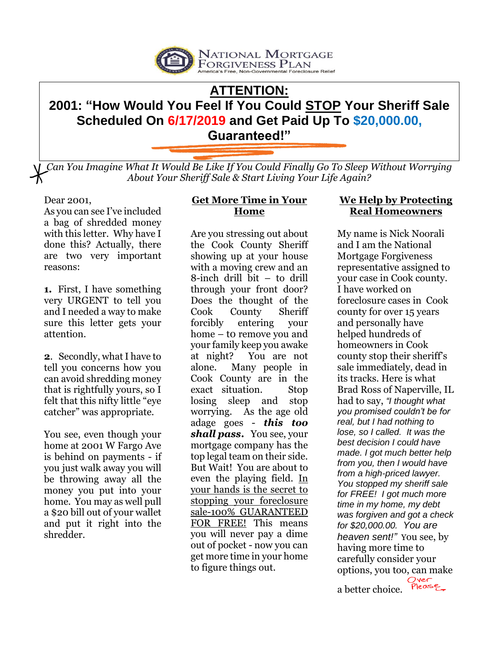

# **ATTENTION: 2001: "How Would You Feel If You Could STOP Your Sheriff Sale Scheduled On 6/17/2019 and Get Paid Up To \$20,000.00,**

**Guaranteed!"**

*Can You Imagine What It Would Be Like If You Could Finally Go To Sleep Without Worrying About Your Sheriff Sale & Start Living Your Life Again?*

### Dear 2001,

As you can see I've included a bag of shredded money with this letter. Why have I done this? Actually, there are two very important reasons:

**1.** First, I have something very URGENT to tell you and I needed a way to make sure this letter gets your attention.

**2**. Secondly, what I have to tell you concerns how you can avoid shredding money that is rightfully yours, so I felt that this nifty little "eye catcher" was appropriate.

You see, even though your home at 2001 W Fargo Ave is behind on payments - if you just walk away you will be throwing away all the money you put into your home. You may as well pull a \$20 bill out of your wallet and put it right into the shredder.

# **Get More Time in Your Home**

Are you stressing out about the Cook County Sheriff showing up at your house with a moving crew and an 8-inch drill bit – to drill through your front door? Does the thought of the Cook County Sheriff forcibly entering your home – to remove you and your family keep you awake at night? You are not alone. Many people in Cook County are in the exact situation. Stop losing sleep and stop worrying. As the age old adage goes - *this too shall pass***.** You see, your mortgage company has the top legal team on their side. But Wait! You are about to even the playing field. In your hands is the secret to stopping your foreclosure sale-100% GUARANTEED FOR FREE! This means you will never pay a dime out of pocket - now you can get more time in your home to figure things out.

## **We Help by Protecting Real Homeowners**

My name is Nick Noorali and I am the National Mortgage Forgiveness representative assigned to your case in Cook county. I have worked on foreclosure cases in Cook county for over 15 years and personally have helped hundreds of homeowners in Cook county stop their sheriff's sale immediately, dead in its tracks. Here is what Brad Ross of Naperville, IL had to say, *"I thought what you promised couldn't be for real, but I had nothing to lose, so I called. It was the best decision I could have made. I got much better help from you, then I would have from a high-priced lawyer. You stopped my sheriff sale for FREE! I got much more time in my home, my debt was forgiven and got a check for \$20,000.00. You are heaven sent!"* You see, by having more time to carefully consider your options, you too, can make a better choice.